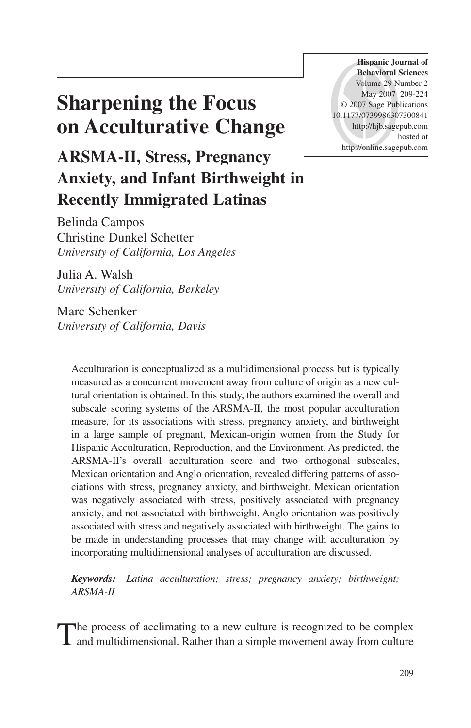# **Sharpening the Focus on Acculturative Change**

## **ARSMA-II, Stress, Pregnancy Anxiety, and Infant Birthweight in Recently Immigrated Latinas**

Belinda Campos Christine Dunkel Schetter *University of California, Los Angeles*

Julia A. Walsh *University of California, Berkeley*

Marc Schenker *University of California, Davis*

Acculturation is conceptualized as a multidimensional process but is typically measured as a concurrent movement away from culture of origin as a new cultural orientation is obtained. In this study, the authors examined the overall and subscale scoring systems of the ARSMA-II, the most popular acculturation measure, for its associations with stress, pregnancy anxiety, and birthweight in a large sample of pregnant, Mexican-origin women from the Study for Hispanic Acculturation, Reproduction, and the Environment. As predicted, the ARSMA-II's overall acculturation score and two orthogonal subscales, Mexican orientation and Anglo orientation, revealed differing patterns of associations with stress, pregnancy anxiety, and birthweight. Mexican orientation was negatively associated with stress, positively associated with pregnancy anxiety, and not associated with birthweight. Anglo orientation was positively associated with stress and negatively associated with birthweight. The gains to be made in understanding processes that may change with acculturation by incorporating multidimensional analyses of acculturation are discussed.

*Keywords: Latina acculturation; stress; pregnancy anxiety; birthweight; ARSMA-II*

The process of acclimating to a new culture is recognized to be complex and multidimensional. Rather than a simple movement away from culture

**Hispanic Journal of Behavioral Sciences** Volume 29 Number 2 May 2007 209-224 © 2007 Sage Publications 10.1177/0739986307300841 http://hjb.sagepub.com hosted at http://online.sagepub.com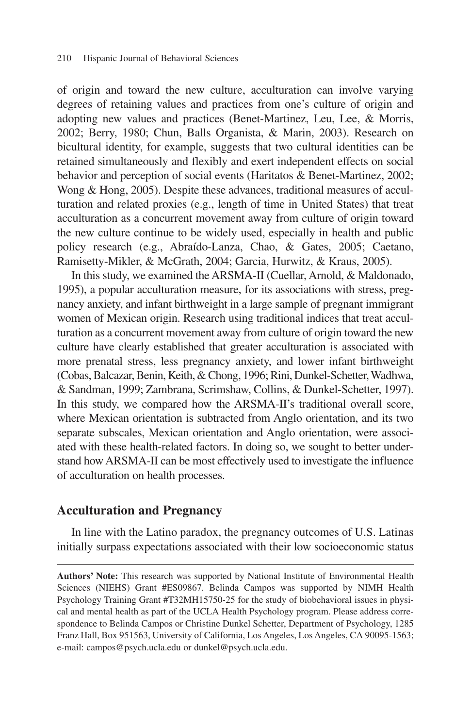of origin and toward the new culture, acculturation can involve varying degrees of retaining values and practices from one's culture of origin and adopting new values and practices (Benet-Martinez, Leu, Lee, & Morris, 2002; Berry, 1980; Chun, Balls Organista, & Marin, 2003). Research on bicultural identity, for example, suggests that two cultural identities can be retained simultaneously and flexibly and exert independent effects on social behavior and perception of social events (Haritatos & Benet-Martinez, 2002; Wong & Hong, 2005). Despite these advances, traditional measures of acculturation and related proxies (e.g., length of time in United States) that treat acculturation as a concurrent movement away from culture of origin toward the new culture continue to be widely used, especially in health and public policy research (e.g., Abraído-Lanza, Chao, & Gates, 2005; Caetano, Ramisetty-Mikler, & McGrath, 2004; Garcia, Hurwitz, & Kraus, 2005).

In this study, we examined the ARSMA-II (Cuellar, Arnold, & Maldonado, 1995), a popular acculturation measure, for its associations with stress, pregnancy anxiety, and infant birthweight in a large sample of pregnant immigrant women of Mexican origin. Research using traditional indices that treat acculturation as a concurrent movement away from culture of origin toward the new culture have clearly established that greater acculturation is associated with more prenatal stress, less pregnancy anxiety, and lower infant birthweight (Cobas, Balcazar, Benin, Keith, & Chong, 1996; Rini, Dunkel-Schetter, Wadhwa, & Sandman, 1999; Zambrana, Scrimshaw, Collins, & Dunkel-Schetter, 1997). In this study, we compared how the ARSMA-II's traditional overall score, where Mexican orientation is subtracted from Anglo orientation, and its two separate subscales, Mexican orientation and Anglo orientation, were associated with these health-related factors. In doing so, we sought to better understand how ARSMA-II can be most effectively used to investigate the influence of acculturation on health processes.

#### **Acculturation and Pregnancy**

In line with the Latino paradox, the pregnancy outcomes of U.S. Latinas initially surpass expectations associated with their low socioeconomic status

**Authors' Note:** This research was supported by National Institute of Environmental Health Sciences (NIEHS) Grant #ES09867. Belinda Campos was supported by NIMH Health Psychology Training Grant #T32MH15750-25 for the study of biobehavioral issues in physical and mental health as part of the UCLA Health Psychology program. Please address correspondence to Belinda Campos or Christine Dunkel Schetter, Department of Psychology, 1285 Franz Hall, Box 951563, University of California, Los Angeles, Los Angeles, CA 90095-1563; e-mail: campos@psych.ucla.edu or dunkel@psych.ucla.edu.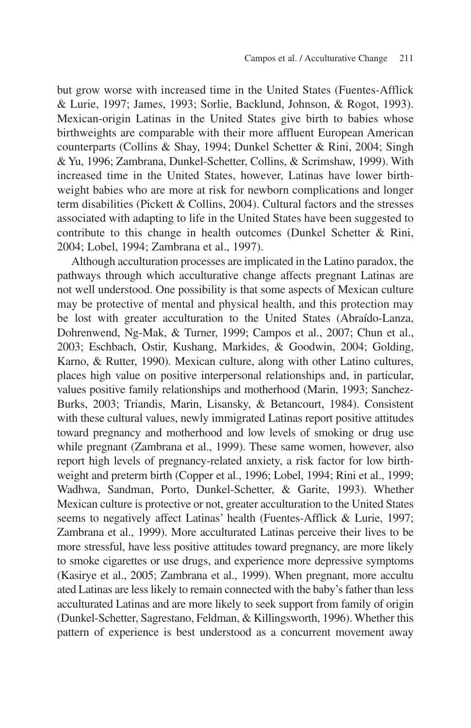but grow worse with increased time in the United States (Fuentes-Afflick & Lurie, 1997; James, 1993; Sorlie, Backlund, Johnson, & Rogot, 1993). Mexican-origin Latinas in the United States give birth to babies whose birthweights are comparable with their more affluent European American counterparts (Collins & Shay, 1994; Dunkel Schetter & Rini, 2004; Singh & Yu, 1996; Zambrana, Dunkel-Schetter, Collins, & Scrimshaw, 1999). With increased time in the United States, however, Latinas have lower birthweight babies who are more at risk for newborn complications and longer term disabilities (Pickett & Collins, 2004). Cultural factors and the stresses associated with adapting to life in the United States have been suggested to contribute to this change in health outcomes (Dunkel Schetter & Rini, 2004; Lobel, 1994; Zambrana et al., 1997).

Although acculturation processes are implicated in the Latino paradox, the pathways through which acculturative change affects pregnant Latinas are not well understood. One possibility is that some aspects of Mexican culture may be protective of mental and physical health, and this protection may be lost with greater acculturation to the United States (Abraído-Lanza, Dohrenwend, Ng-Mak, & Turner, 1999; Campos et al., 2007; Chun et al., 2003; Eschbach, Ostir, Kushang, Markides, & Goodwin, 2004; Golding, Karno, & Rutter, 1990). Mexican culture, along with other Latino cultures, places high value on positive interpersonal relationships and, in particular, values positive family relationships and motherhood (Marin, 1993; Sanchez-Burks, 2003; Triandis, Marin, Lisansky, & Betancourt, 1984). Consistent with these cultural values, newly immigrated Latinas report positive attitudes toward pregnancy and motherhood and low levels of smoking or drug use while pregnant (Zambrana et al., 1999). These same women, however, also report high levels of pregnancy-related anxiety, a risk factor for low birthweight and preterm birth (Copper et al., 1996; Lobel, 1994; Rini et al., 1999; Wadhwa, Sandman, Porto, Dunkel-Schetter, & Garite, 1993). Whether Mexican culture is protective or not, greater acculturation to the United States seems to negatively affect Latinas' health (Fuentes-Afflick & Lurie, 1997; Zambrana et al., 1999). More acculturated Latinas perceive their lives to be more stressful, have less positive attitudes toward pregnancy, are more likely to smoke cigarettes or use drugs, and experience more depressive symptoms (Kasirye et al., 2005; Zambrana et al., 1999). When pregnant, more accultu ated Latinas are less likely to remain connected with the baby's father than less acculturated Latinas and are more likely to seek support from family of origin (Dunkel-Schetter, Sagrestano, Feldman, & Killingsworth, 1996). Whether this pattern of experience is best understood as a concurrent movement away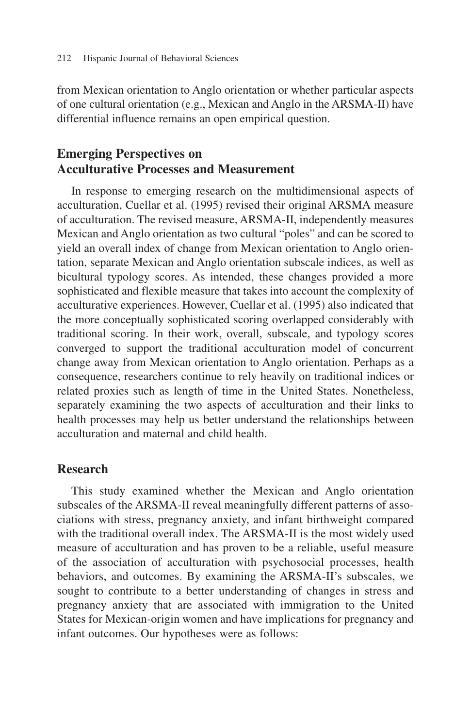from Mexican orientation to Anglo orientation or whether particular aspects of one cultural orientation (e.g., Mexican and Anglo in the ARSMA-II) have differential influence remains an open empirical question.

## **Emerging Perspectives on Acculturative Processes and Measurement**

In response to emerging research on the multidimensional aspects of acculturation, Cuellar et al. (1995) revised their original ARSMA measure of acculturation. The revised measure, ARSMA-II, independently measures Mexican and Anglo orientation as two cultural "poles" and can be scored to yield an overall index of change from Mexican orientation to Anglo orientation, separate Mexican and Anglo orientation subscale indices, as well as bicultural typology scores. As intended, these changes provided a more sophisticated and flexible measure that takes into account the complexity of acculturative experiences. However, Cuellar et al. (1995) also indicated that the more conceptually sophisticated scoring overlapped considerably with traditional scoring. In their work, overall, subscale, and typology scores converged to support the traditional acculturation model of concurrent change away from Mexican orientation to Anglo orientation. Perhaps as a consequence, researchers continue to rely heavily on traditional indices or related proxies such as length of time in the United States. Nonetheless, separately examining the two aspects of acculturation and their links to health processes may help us better understand the relationships between acculturation and maternal and child health.

#### **Research**

This study examined whether the Mexican and Anglo orientation subscales of the ARSMA-II reveal meaningfully different patterns of associations with stress, pregnancy anxiety, and infant birthweight compared with the traditional overall index. The ARSMA-II is the most widely used measure of acculturation and has proven to be a reliable, useful measure of the association of acculturation with psychosocial processes, health behaviors, and outcomes. By examining the ARSMA-II's subscales, we sought to contribute to a better understanding of changes in stress and pregnancy anxiety that are associated with immigration to the United States for Mexican-origin women and have implications for pregnancy and infant outcomes. Our hypotheses were as follows: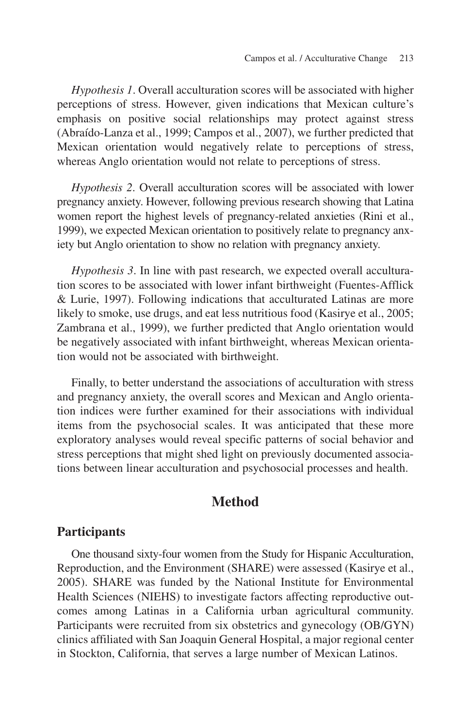*Hypothesis 1*. Overall acculturation scores will be associated with higher perceptions of stress. However, given indications that Mexican culture's emphasis on positive social relationships may protect against stress (Abraído-Lanza et al., 1999; Campos et al., 2007), we further predicted that Mexican orientation would negatively relate to perceptions of stress, whereas Anglo orientation would not relate to perceptions of stress.

*Hypothesis 2*. Overall acculturation scores will be associated with lower pregnancy anxiety. However, following previous research showing that Latina women report the highest levels of pregnancy-related anxieties (Rini et al., 1999), we expected Mexican orientation to positively relate to pregnancy anxiety but Anglo orientation to show no relation with pregnancy anxiety.

*Hypothesis 3*. In line with past research, we expected overall acculturation scores to be associated with lower infant birthweight (Fuentes-Afflick & Lurie, 1997). Following indications that acculturated Latinas are more likely to smoke, use drugs, and eat less nutritious food (Kasirye et al., 2005; Zambrana et al., 1999), we further predicted that Anglo orientation would be negatively associated with infant birthweight, whereas Mexican orientation would not be associated with birthweight.

Finally, to better understand the associations of acculturation with stress and pregnancy anxiety, the overall scores and Mexican and Anglo orientation indices were further examined for their associations with individual items from the psychosocial scales. It was anticipated that these more exploratory analyses would reveal specific patterns of social behavior and stress perceptions that might shed light on previously documented associations between linear acculturation and psychosocial processes and health.

## **Method**

#### **Participants**

One thousand sixty-four women from the Study for Hispanic Acculturation, Reproduction, and the Environment (SHARE) were assessed (Kasirye et al., 2005). SHARE was funded by the National Institute for Environmental Health Sciences (NIEHS) to investigate factors affecting reproductive outcomes among Latinas in a California urban agricultural community. Participants were recruited from six obstetrics and gynecology (OB/GYN) clinics affiliated with San Joaquin General Hospital, a major regional center in Stockton, California, that serves a large number of Mexican Latinos.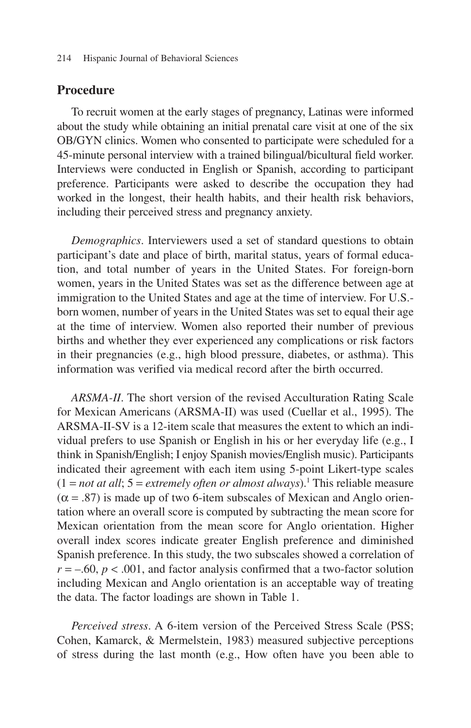#### **Procedure**

To recruit women at the early stages of pregnancy, Latinas were informed about the study while obtaining an initial prenatal care visit at one of the six OB/GYN clinics. Women who consented to participate were scheduled for a 45-minute personal interview with a trained bilingual/bicultural field worker. Interviews were conducted in English or Spanish, according to participant preference. Participants were asked to describe the occupation they had worked in the longest, their health habits, and their health risk behaviors, including their perceived stress and pregnancy anxiety.

*Demographics*. Interviewers used a set of standard questions to obtain participant's date and place of birth, marital status, years of formal education, and total number of years in the United States. For foreign-born women, years in the United States was set as the difference between age at immigration to the United States and age at the time of interview. For U.S. born women, number of years in the United States was set to equal their age at the time of interview. Women also reported their number of previous births and whether they ever experienced any complications or risk factors in their pregnancies (e.g., high blood pressure, diabetes, or asthma). This information was verified via medical record after the birth occurred.

*ARSMA-II*. The short version of the revised Acculturation Rating Scale for Mexican Americans (ARSMA-II) was used (Cuellar et al., 1995). The ARSMA-II-SV is a 12-item scale that measures the extent to which an individual prefers to use Spanish or English in his or her everyday life (e.g., I think in Spanish/English; I enjoy Spanish movies/English music). Participants indicated their agreement with each item using 5-point Likert-type scales  $(1 = not at all; 5 = extremely often or almost always).$ <sup>1</sup> This reliable measure  $(\alpha = .87)$  is made up of two 6-item subscales of Mexican and Anglo orientation where an overall score is computed by subtracting the mean score for Mexican orientation from the mean score for Anglo orientation. Higher overall index scores indicate greater English preference and diminished Spanish preference. In this study, the two subscales showed a correlation of  $r = -.60$ ,  $p < .001$ , and factor analysis confirmed that a two-factor solution including Mexican and Anglo orientation is an acceptable way of treating the data. The factor loadings are shown in Table 1.

*Perceived stress*. A 6-item version of the Perceived Stress Scale (PSS; Cohen, Kamarck, & Mermelstein, 1983) measured subjective perceptions of stress during the last month (e.g., How often have you been able to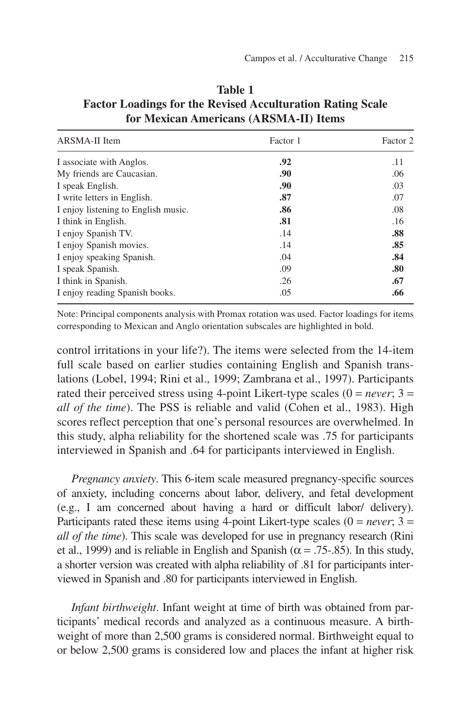| ARSMA-II Item                       | Factor 1 | Factor 2 |
|-------------------------------------|----------|----------|
| I associate with Anglos.            | .92      | .11      |
| My friends are Caucasian.           | .90      | .06      |
| I speak English.                    | .90      | .03      |
| I write letters in English.         | .87      | .07      |
| I enjoy listening to English music. | .86      | .08      |
| I think in English.                 | .81      | .16      |
| I enjoy Spanish TV.                 | .14      | .88      |
| I enjoy Spanish movies.             | .14      | .85      |
| I enjoy speaking Spanish.           | .04      | .84      |
| I speak Spanish.                    | .09      | .80      |
| I think in Spanish.                 | .26      | .67      |
| I enjoy reading Spanish books.      | .05      | .66      |

**Table 1 Factor Loadings for the Revised Acculturation Rating Scale for Mexican Americans (ARSMA-II) Items**

Note: Principal components analysis with Promax rotation was used. Factor loadings for items corresponding to Mexican and Anglo orientation subscales are highlighted in bold.

control irritations in your life?). The items were selected from the 14-item full scale based on earlier studies containing English and Spanish translations (Lobel, 1994; Rini et al., 1999; Zambrana et al., 1997). Participants rated their perceived stress using 4-point Likert-type scales  $(0 = never, 3 =$ *all of the time*). The PSS is reliable and valid (Cohen et al., 1983). High scores reflect perception that one's personal resources are overwhelmed. In this study, alpha reliability for the shortened scale was .75 for participants interviewed in Spanish and .64 for participants interviewed in English.

*Pregnancy anxiety*. This 6-item scale measured pregnancy-specific sources of anxiety, including concerns about labor, delivery, and fetal development (e.g., I am concerned about having a hard or difficult labor/ delivery). Participants rated these items using 4-point Likert-type scales  $(0 = never, 3 = 1)$ *all of the time*). This scale was developed for use in pregnancy research (Rini et al., 1999) and is reliable in English and Spanish ( $\alpha = .75$ -.85). In this study, a shorter version was created with alpha reliability of .81 for participants interviewed in Spanish and .80 for participants interviewed in English.

*Infant birthweight*. Infant weight at time of birth was obtained from participants' medical records and analyzed as a continuous measure. A birthweight of more than 2,500 grams is considered normal. Birthweight equal to or below 2,500 grams is considered low and places the infant at higher risk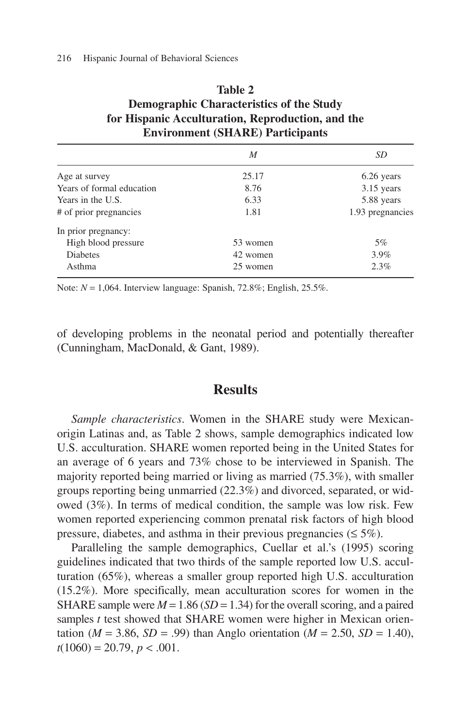| <b>Demographic Characteristics of the Study</b>   |  |  |
|---------------------------------------------------|--|--|
| for Hispanic Acculturation, Reproduction, and the |  |  |
| <b>Environment (SHARE) Participants</b>           |  |  |

**Table 2**

|                           | M        | SD               |
|---------------------------|----------|------------------|
| Age at survey             | 25.17    | 6.26 years       |
| Years of formal education | 8.76     | $3.15$ years     |
| Years in the U.S.         | 6.33     | 5.88 years       |
| # of prior pregnancies    | 1.81     | 1.93 pregnancies |
| In prior pregnancy:       |          |                  |
| High blood pressure       | 53 women | 5%               |
| <b>Diabetes</b>           | 42 women | 3.9%             |
| Asthma                    | 25 women | 2.3%             |

Note: *N* = 1,064. Interview language: Spanish, 72.8%; English, 25.5%.

of developing problems in the neonatal period and potentially thereafter (Cunningham, MacDonald, & Gant, 1989).

#### **Results**

*Sample characteristics*. Women in the SHARE study were Mexicanorigin Latinas and, as Table 2 shows, sample demographics indicated low U.S. acculturation. SHARE women reported being in the United States for an average of 6 years and 73% chose to be interviewed in Spanish. The majority reported being married or living as married (75.3%), with smaller groups reporting being unmarried (22.3%) and divorced, separated, or widowed (3%). In terms of medical condition, the sample was low risk. Few women reported experiencing common prenatal risk factors of high blood pressure, diabetes, and asthma in their previous pregnancies ( $\leq 5\%$ ).

Paralleling the sample demographics, Cuellar et al.'s (1995) scoring guidelines indicated that two thirds of the sample reported low U.S. acculturation (65%), whereas a smaller group reported high U.S. acculturation (15.2%). More specifically, mean acculturation scores for women in the SHARE sample were  $M = 1.86$  (*SD* = 1.34) for the overall scoring, and a paired samples *t* test showed that SHARE women were higher in Mexican orientation ( $M = 3.86$ ,  $SD = .99$ ) than Anglo orientation ( $M = 2.50$ ,  $SD = 1.40$ ),  $t(1060) = 20.79, p < .001.$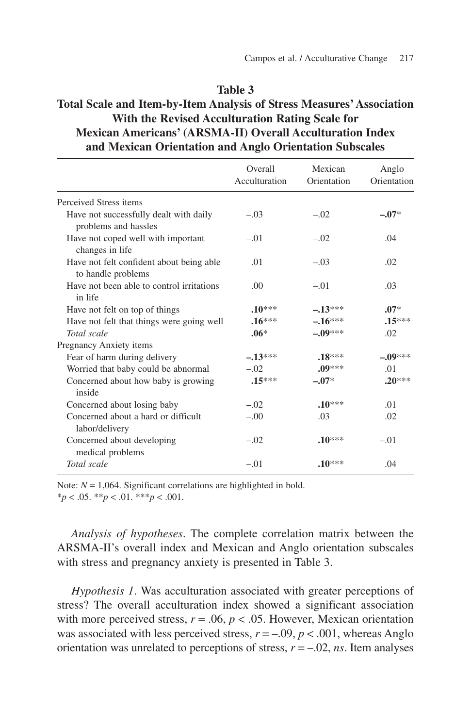#### **Table 3**

### **Total Scale and Item-by-Item Analysis of Stress Measures' Association With the Revised Acculturation Rating Scale for Mexican Americans' (ARSMA-II) Overall Acculturation Index and Mexican Orientation and Anglo Orientation Subscales**

|                                                                | Overall<br>Acculturation | Mexican<br>Orientation | Anglo<br>Orientation |
|----------------------------------------------------------------|--------------------------|------------------------|----------------------|
| Perceived Stress items                                         |                          |                        |                      |
| Have not successfully dealt with daily<br>problems and hassles | $-.03$                   | $-.02$                 | $-.07*$              |
| Have not coped well with important<br>changes in life          | $-.01$                   | $-.02$                 | .04                  |
| Have not felt confident about being able<br>to handle problems | .01                      | $-.03$                 | .02                  |
| Have not been able to control irritations<br>in life           | .00.                     | $-.01$                 | .03                  |
| Have not felt on top of things                                 | $.10***$                 | $-.13***$              | $.07*$               |
| Have not felt that things were going well                      | $.16***$                 | $-.16***$              | $.15***$             |
| Total scale                                                    | $.06*$                   | $-.09***$              | .02                  |
| Pregnancy Anxiety items                                        |                          |                        |                      |
| Fear of harm during delivery                                   | $-.13***$                | $.18***$               | $-.09***$            |
| Worried that baby could be abnormal                            | $-.02$                   | $.09***$               | .01                  |
| Concerned about how baby is growing<br>inside                  | $.15***$                 | $-.07*$                | $.20***$             |
| Concerned about losing baby                                    | $-.02$                   | $.10***$               | .01                  |
| Concerned about a hard or difficult<br>labor/delivery          | $-.00$                   | .03                    | .02                  |
| Concerned about developing<br>medical problems                 | $-02$                    | $.10***$               | $-.01$               |
| Total scale                                                    | $-.01$                   | $.10***$               | .04                  |

Note:  $N = 1,064$ . Significant correlations are highlighted in bold.

\**p* < .05. \*\**p* < .01. \*\*\**p* < .001.

*Analysis of hypotheses*. The complete correlation matrix between the ARSMA-II's overall index and Mexican and Anglo orientation subscales with stress and pregnancy anxiety is presented in Table 3.

*Hypothesis 1*. Was acculturation associated with greater perceptions of stress? The overall acculturation index showed a significant association with more perceived stress,  $r = .06$ ,  $p < .05$ . However, Mexican orientation was associated with less perceived stress,  $r = -.09$ ,  $p < .001$ , whereas Anglo orientation was unrelated to perceptions of stress,  $r = -0.02$ , *ns*. Item analyses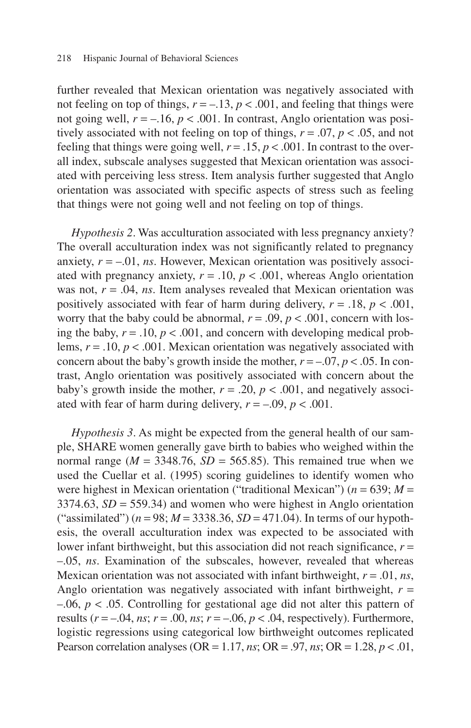further revealed that Mexican orientation was negatively associated with not feeling on top of things,  $r = -13$ ,  $p < .001$ , and feeling that things were not going well,  $r = -16$ ,  $p < .001$ . In contrast, Anglo orientation was positively associated with not feeling on top of things,  $r = .07$ ,  $p < .05$ , and not feeling that things were going well,  $r = .15$ ,  $p < .001$ . In contrast to the overall index, subscale analyses suggested that Mexican orientation was associated with perceiving less stress. Item analysis further suggested that Anglo orientation was associated with specific aspects of stress such as feeling that things were not going well and not feeling on top of things.

*Hypothesis 2*. Was acculturation associated with less pregnancy anxiety? The overall acculturation index was not significantly related to pregnancy anxiety,  $r = -0.01$ , *ns*. However, Mexican orientation was positively associ-ated with pregnancy anxiety,  $r = .10$ ,  $p < .001$ , whereas Anglo orientation was not,  $r = .04$ , *ns*. Item analyses revealed that Mexican orientation was positively associated with fear of harm during delivery,  $r = .18$ ,  $p < .001$ , worry that the baby could be abnormal,  $r = .09$ ,  $p < .001$ , concern with losing the baby,  $r = .10$ ,  $p < .001$ , and concern with developing medical problems,  $r = .10$ ,  $p < .001$ . Mexican orientation was negatively associated with concern about the baby's growth inside the mother,  $r = -0.07$ ,  $p < 0.05$ . In contrast, Anglo orientation was positively associated with concern about the baby's growth inside the mother,  $r = .20$ ,  $p < .001$ , and negatively associated with fear of harm during delivery,  $r = -0.09$ ,  $p < 0.001$ .

*Hypothesis 3*. As might be expected from the general health of our sample, SHARE women generally gave birth to babies who weighed within the normal range ( $M = 3348.76$ ,  $SD = 565.85$ ). This remained true when we used the Cuellar et al. (1995) scoring guidelines to identify women who were highest in Mexican orientation ("traditional Mexican") (*n* = 639; *M* = 3374.63, *SD* = 559.34) and women who were highest in Anglo orientation ("assimilated")  $(n = 98; M = 3338.36, SD = 471.04)$ . In terms of our hypothesis, the overall acculturation index was expected to be associated with lower infant birthweight, but this association did not reach significance,  $r =$ –.05, *ns*. Examination of the subscales, however, revealed that whereas Mexican orientation was not associated with infant birthweight,  $r = .01$ ,  $ns$ , Anglo orientation was negatively associated with infant birthweight, *r* =  $-0.06$ ,  $p < 0.05$ . Controlling for gestational age did not alter this pattern of results  $(r = -.04, ns; r = .00, ns; r = -.06, p < .04$ , respectively). Furthermore, logistic regressions using categorical low birthweight outcomes replicated Pearson correlation analyses ( $OR = 1.17$ , *ns*;  $OR = .97$ , *ns*;  $OR = 1.28$ ,  $p < .01$ ,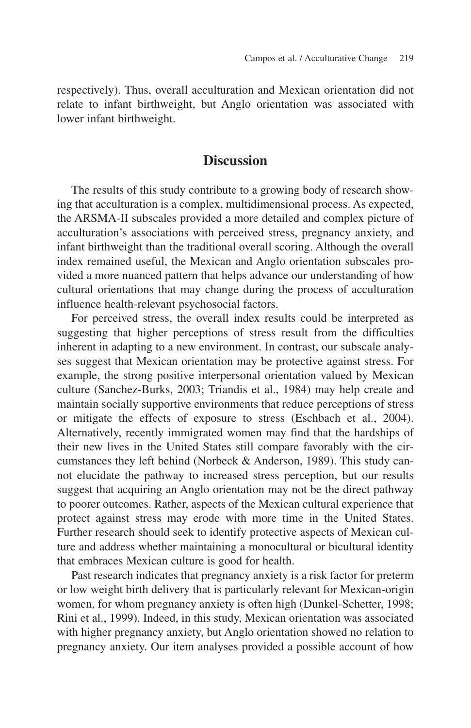respectively). Thus, overall acculturation and Mexican orientation did not relate to infant birthweight, but Anglo orientation was associated with lower infant birthweight.

#### **Discussion**

The results of this study contribute to a growing body of research showing that acculturation is a complex, multidimensional process. As expected, the ARSMA-II subscales provided a more detailed and complex picture of acculturation's associations with perceived stress, pregnancy anxiety, and infant birthweight than the traditional overall scoring. Although the overall index remained useful, the Mexican and Anglo orientation subscales provided a more nuanced pattern that helps advance our understanding of how cultural orientations that may change during the process of acculturation influence health-relevant psychosocial factors.

For perceived stress, the overall index results could be interpreted as suggesting that higher perceptions of stress result from the difficulties inherent in adapting to a new environment. In contrast, our subscale analyses suggest that Mexican orientation may be protective against stress. For example, the strong positive interpersonal orientation valued by Mexican culture (Sanchez-Burks, 2003; Triandis et al., 1984) may help create and maintain socially supportive environments that reduce perceptions of stress or mitigate the effects of exposure to stress (Eschbach et al., 2004). Alternatively, recently immigrated women may find that the hardships of their new lives in the United States still compare favorably with the circumstances they left behind (Norbeck & Anderson, 1989). This study cannot elucidate the pathway to increased stress perception, but our results suggest that acquiring an Anglo orientation may not be the direct pathway to poorer outcomes. Rather, aspects of the Mexican cultural experience that protect against stress may erode with more time in the United States. Further research should seek to identify protective aspects of Mexican culture and address whether maintaining a monocultural or bicultural identity that embraces Mexican culture is good for health.

Past research indicates that pregnancy anxiety is a risk factor for preterm or low weight birth delivery that is particularly relevant for Mexican-origin women, for whom pregnancy anxiety is often high (Dunkel-Schetter, 1998; Rini et al., 1999). Indeed, in this study, Mexican orientation was associated with higher pregnancy anxiety, but Anglo orientation showed no relation to pregnancy anxiety. Our item analyses provided a possible account of how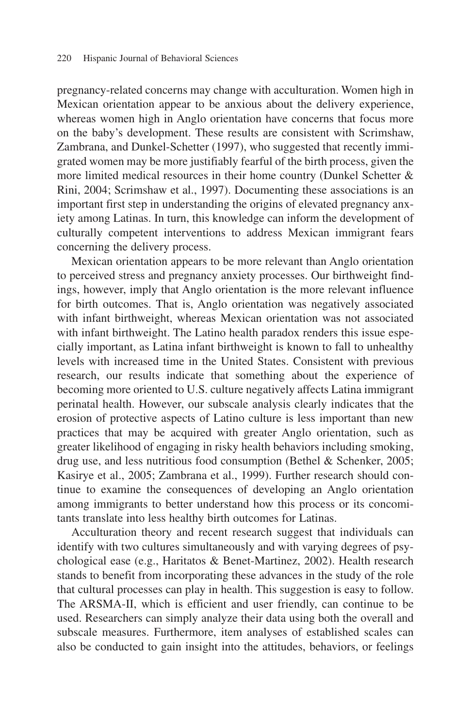pregnancy-related concerns may change with acculturation. Women high in Mexican orientation appear to be anxious about the delivery experience, whereas women high in Anglo orientation have concerns that focus more on the baby's development. These results are consistent with Scrimshaw, Zambrana, and Dunkel-Schetter (1997), who suggested that recently immigrated women may be more justifiably fearful of the birth process, given the more limited medical resources in their home country (Dunkel Schetter & Rini, 2004; Scrimshaw et al., 1997). Documenting these associations is an important first step in understanding the origins of elevated pregnancy anxiety among Latinas. In turn, this knowledge can inform the development of culturally competent interventions to address Mexican immigrant fears concerning the delivery process.

Mexican orientation appears to be more relevant than Anglo orientation to perceived stress and pregnancy anxiety processes. Our birthweight findings, however, imply that Anglo orientation is the more relevant influence for birth outcomes. That is, Anglo orientation was negatively associated with infant birthweight, whereas Mexican orientation was not associated with infant birthweight. The Latino health paradox renders this issue especially important, as Latina infant birthweight is known to fall to unhealthy levels with increased time in the United States. Consistent with previous research, our results indicate that something about the experience of becoming more oriented to U.S. culture negatively affects Latina immigrant perinatal health. However, our subscale analysis clearly indicates that the erosion of protective aspects of Latino culture is less important than new practices that may be acquired with greater Anglo orientation, such as greater likelihood of engaging in risky health behaviors including smoking, drug use, and less nutritious food consumption (Bethel & Schenker, 2005; Kasirye et al., 2005; Zambrana et al., 1999). Further research should continue to examine the consequences of developing an Anglo orientation among immigrants to better understand how this process or its concomitants translate into less healthy birth outcomes for Latinas.

Acculturation theory and recent research suggest that individuals can identify with two cultures simultaneously and with varying degrees of psychological ease (e.g., Haritatos & Benet-Martinez, 2002). Health research stands to benefit from incorporating these advances in the study of the role that cultural processes can play in health. This suggestion is easy to follow. The ARSMA-II, which is efficient and user friendly, can continue to be used. Researchers can simply analyze their data using both the overall and subscale measures. Furthermore, item analyses of established scales can also be conducted to gain insight into the attitudes, behaviors, or feelings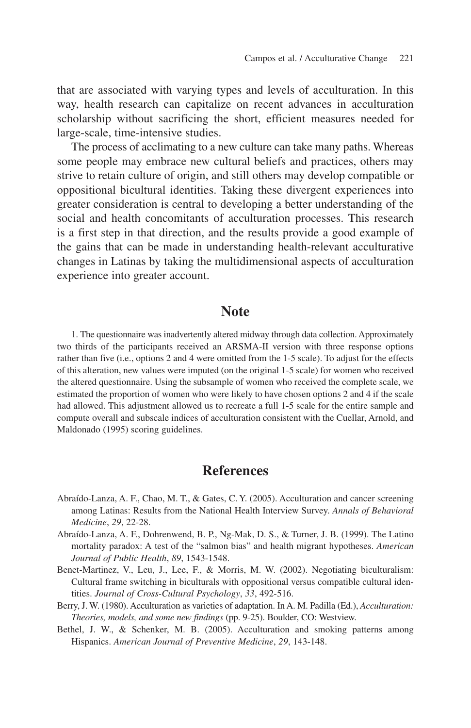that are associated with varying types and levels of acculturation. In this way, health research can capitalize on recent advances in acculturation scholarship without sacrificing the short, efficient measures needed for large-scale, time-intensive studies.

The process of acclimating to a new culture can take many paths. Whereas some people may embrace new cultural beliefs and practices, others may strive to retain culture of origin, and still others may develop compatible or oppositional bicultural identities. Taking these divergent experiences into greater consideration is central to developing a better understanding of the social and health concomitants of acculturation processes. This research is a first step in that direction, and the results provide a good example of the gains that can be made in understanding health-relevant acculturative changes in Latinas by taking the multidimensional aspects of acculturation experience into greater account.

#### **Note**

1. The questionnaire was inadvertently altered midway through data collection. Approximately two thirds of the participants received an ARSMA-II version with three response options rather than five (i.e., options 2 and 4 were omitted from the 1-5 scale). To adjust for the effects of this alteration, new values were imputed (on the original 1-5 scale) for women who received the altered questionnaire. Using the subsample of women who received the complete scale, we estimated the proportion of women who were likely to have chosen options 2 and 4 if the scale had allowed. This adjustment allowed us to recreate a full 1-5 scale for the entire sample and compute overall and subscale indices of acculturation consistent with the Cuellar, Arnold, and Maldonado (1995) scoring guidelines.

## **References**

- Abraído-Lanza, A. F., Chao, M. T., & Gates, C. Y. (2005). Acculturation and cancer screening among Latinas: Results from the National Health Interview Survey. *Annals of Behavioral Medicine*, *29*, 22-28.
- Abraído-Lanza, A. F., Dohrenwend, B. P., Ng-Mak, D. S., & Turner, J. B. (1999). The Latino mortality paradox: A test of the "salmon bias" and health migrant hypotheses. *American Journal of Public Health*, *89*, 1543-1548.
- Benet-Martinez, V., Leu, J., Lee, F., & Morris, M. W. (2002). Negotiating biculturalism: Cultural frame switching in biculturals with oppositional versus compatible cultural identities. *Journal of Cross-Cultural Psychology*, *33*, 492-516.
- Berry, J. W. (1980). Acculturation as varieties of adaptation. In A. M. Padilla (Ed.), *Acculturation: Theories, models, and some new findings* (pp. 9-25). Boulder, CO: Westview.
- Bethel, J. W., & Schenker, M. B. (2005). Acculturation and smoking patterns among Hispanics. *American Journal of Preventive Medicine*, *29*, 143-148.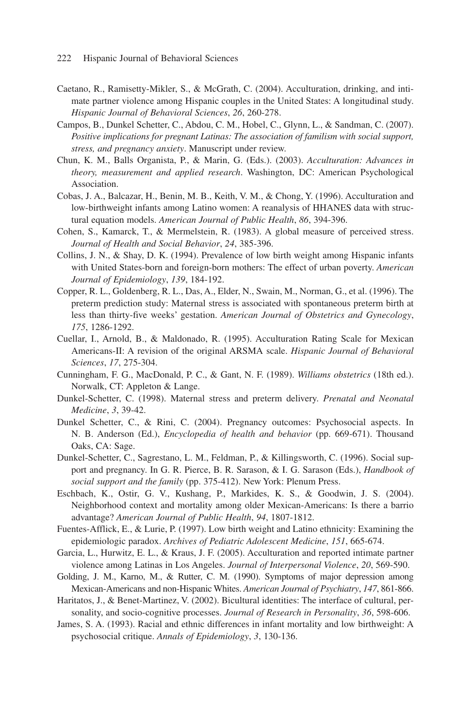- Caetano, R., Ramisetty-Mikler, S., & McGrath, C. (2004). Acculturation, drinking, and intimate partner violence among Hispanic couples in the United States: A longitudinal study. *Hispanic Journal of Behavioral Sciences*, *26*, 260-278.
- Campos, B., Dunkel Schetter, C., Abdou, C. M., Hobel, C., Glynn, L., & Sandman, C. (2007). *Positive implications for pregnant Latinas: The association of familism with social support, stress, and pregnancy anxiety*. Manuscript under review.
- Chun, K. M., Balls Organista, P., & Marin, G. (Eds.). (2003). *Acculturation: Advances in theory, measurement and applied research*. Washington, DC: American Psychological Association.
- Cobas, J. A., Balcazar, H., Benin, M. B., Keith, V. M., & Chong, Y. (1996). Acculturation and low-birthweight infants among Latino women: A reanalysis of HHANES data with structural equation models. *American Journal of Public Health*, *86*, 394-396.
- Cohen, S., Kamarck, T., & Mermelstein, R. (1983). A global measure of perceived stress. *Journal of Health and Social Behavior*, *24*, 385-396.
- Collins, J. N., & Shay, D. K. (1994). Prevalence of low birth weight among Hispanic infants with United States-born and foreign-born mothers: The effect of urban poverty. *American Journal of Epidemiology*, *139*, 184-192.
- Copper, R. L., Goldenberg, R. L., Das, A., Elder, N., Swain, M., Norman, G., et al. (1996). The preterm prediction study: Maternal stress is associated with spontaneous preterm birth at less than thirty-five weeks' gestation. *American Journal of Obstetrics and Gynecology*, *175*, 1286-1292.
- Cuellar, I., Arnold, B., & Maldonado, R. (1995). Acculturation Rating Scale for Mexican Americans-II: A revision of the original ARSMA scale. *Hispanic Journal of Behavioral Sciences*, *17*, 275-304.
- Cunningham, F. G., MacDonald, P. C., & Gant, N. F. (1989). *Williams obstetrics* (18th ed.). Norwalk, CT: Appleton & Lange.
- Dunkel-Schetter, C. (1998). Maternal stress and preterm delivery. *Prenatal and Neonatal Medicine*, *3*, 39-42.
- Dunkel Schetter, C., & Rini, C. (2004). Pregnancy outcomes: Psychosocial aspects. In N. B. Anderson (Ed.), *Encyclopedia of health and behavior* (pp. 669-671). Thousand Oaks, CA: Sage.
- Dunkel-Schetter, C., Sagrestano, L. M., Feldman, P., & Killingsworth, C. (1996). Social support and pregnancy. In G. R. Pierce, B. R. Sarason, & I. G. Sarason (Eds.), *Handbook of social support and the family* (pp. 375-412). New York: Plenum Press.
- Eschbach, K., Ostir, G. V., Kushang, P., Markides, K. S., & Goodwin, J. S. (2004). Neighborhood context and mortality among older Mexican-Americans: Is there a barrio advantage? *American Journal of Public Health*, *94*, 1807-1812.
- Fuentes-Afflick, E., & Lurie, P. (1997). Low birth weight and Latino ethnicity: Examining the epidemiologic paradox. *Archives of Pediatric Adolescent Medicine*, *151*, 665-674.
- Garcia, L., Hurwitz, E. L., & Kraus, J. F. (2005). Acculturation and reported intimate partner violence among Latinas in Los Angeles. *Journal of Interpersonal Violence*, *20*, 569-590.
- Golding, J. M., Karno, M., & Rutter, C. M. (1990). Symptoms of major depression among Mexican-Americans and non-Hispanic Whites. *American Journal of Psychiatry*, *147*, 861-866.
- Haritatos, J., & Benet-Martinez, V. (2002). Bicultural identities: The interface of cultural, personality, and socio-cognitive processes. *Journal of Research in Personality*, *36*, 598-606.
- James, S. A. (1993). Racial and ethnic differences in infant mortality and low birthweight: A psychosocial critique. *Annals of Epidemiology*, *3*, 130-136.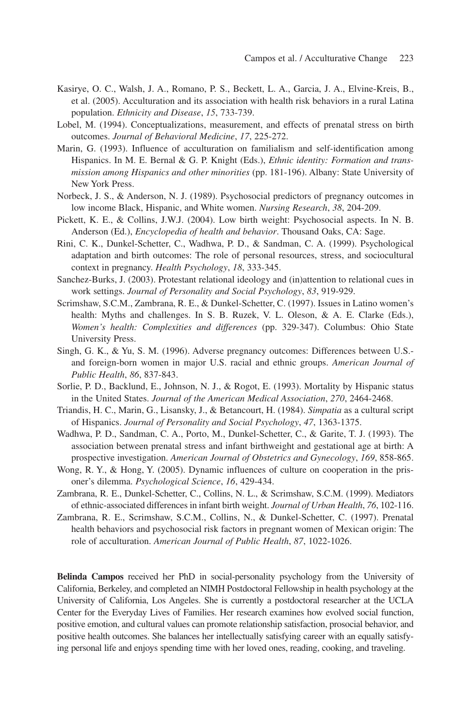- Kasirye, O. C., Walsh, J. A., Romano, P. S., Beckett, L. A., Garcia, J. A., Elvine-Kreis, B., et al. (2005). Acculturation and its association with health risk behaviors in a rural Latina population. *Ethnicity and Disease*, *15*, 733-739.
- Lobel, M. (1994). Conceptualizations, measurement, and effects of prenatal stress on birth outcomes. *Journal of Behavioral Medicine*, *17*, 225-272.
- Marin, G. (1993). Influence of acculturation on familialism and self-identification among Hispanics. In M. E. Bernal & G. P. Knight (Eds.), *Ethnic identity: Formation and transmission among Hispanics and other minorities* (pp. 181-196). Albany: State University of New York Press.
- Norbeck, J. S., & Anderson, N. J. (1989). Psychosocial predictors of pregnancy outcomes in low income Black, Hispanic, and White women. *Nursing Research*, *38*, 204-209.
- Pickett, K. E., & Collins, J.W.J. (2004). Low birth weight: Psychosocial aspects. In N. B. Anderson (Ed.), *Encyclopedia of health and behavior*. Thousand Oaks, CA: Sage.
- Rini, C. K., Dunkel-Schetter, C., Wadhwa, P. D., & Sandman, C. A. (1999). Psychological adaptation and birth outcomes: The role of personal resources, stress, and sociocultural context in pregnancy. *Health Psychology*, *18*, 333-345.
- Sanchez-Burks, J. (2003). Protestant relational ideology and (in)attention to relational cues in work settings. *Journal of Personality and Social Psychology*, *83*, 919-929.
- Scrimshaw, S.C.M., Zambrana, R. E., & Dunkel-Schetter, C. (1997). Issues in Latino women's health: Myths and challenges. In S. B. Ruzek, V. L. Oleson, & A. E. Clarke (Eds.), *Women's health: Complexities and differences* (pp. 329-347). Columbus: Ohio State University Press.
- Singh, G. K., & Yu, S. M. (1996). Adverse pregnancy outcomes: Differences between U.S. and foreign-born women in major U.S. racial and ethnic groups. *American Journal of Public Health*, *86*, 837-843.
- Sorlie, P. D., Backlund, E., Johnson, N. J., & Rogot, E. (1993). Mortality by Hispanic status in the United States. *Journal of the American Medical Association*, *270*, 2464-2468.
- Triandis, H. C., Marin, G., Lisansky, J., & Betancourt, H. (1984). *Simpatia* as a cultural script of Hispanics. *Journal of Personality and Social Psychology*, *47*, 1363-1375.
- Wadhwa, P. D., Sandman, C. A., Porto, M., Dunkel-Schetter, C., & Garite, T. J. (1993). The association between prenatal stress and infant birthweight and gestational age at birth: A prospective investigation. *American Journal of Obstetrics and Gynecology*, *169*, 858-865.
- Wong, R. Y., & Hong, Y. (2005). Dynamic influences of culture on cooperation in the prisoner's dilemma. *Psychological Science*, *16*, 429-434.
- Zambrana, R. E., Dunkel-Schetter, C., Collins, N. L., & Scrimshaw, S.C.M. (1999). Mediators of ethnic-associated differences in infant birth weight. *Journal of Urban Health*, *76*, 102-116.
- Zambrana, R. E., Scrimshaw, S.C.M., Collins, N., & Dunkel-Schetter, C. (1997). Prenatal health behaviors and psychosocial risk factors in pregnant women of Mexican origin: The role of acculturation. *American Journal of Public Health*, *87*, 1022-1026.

**Belinda Campos** received her PhD in social-personality psychology from the University of California, Berkeley, and completed an NIMH Postdoctoral Fellowship in health psychology at the University of California, Los Angeles. She is currently a postdoctoral researcher at the UCLA Center for the Everyday Lives of Families. Her research examines how evolved social function, positive emotion, and cultural values can promote relationship satisfaction, prosocial behavior, and positive health outcomes. She balances her intellectually satisfying career with an equally satisfying personal life and enjoys spending time with her loved ones, reading, cooking, and traveling.